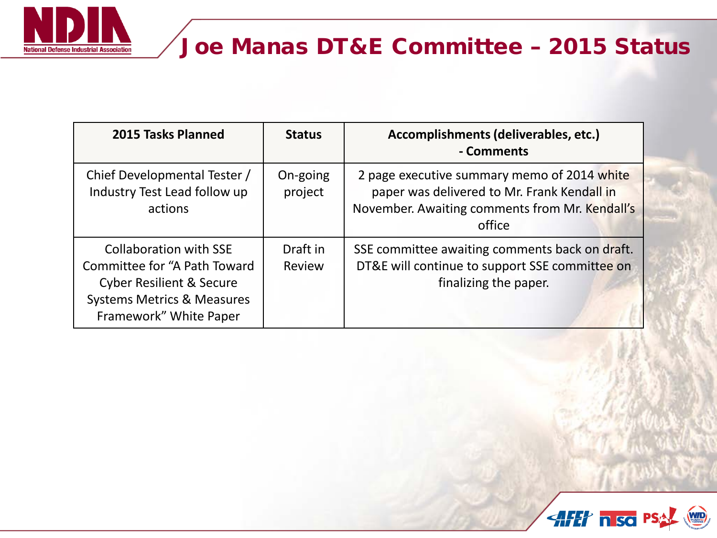

## Joe Manas DT&E Committee – 2015 Status

| 2015 Tasks Planned                                                                                                                                                      | <b>Status</b>       | Accomplishments (deliverables, etc.)<br>- Comments                                                                                                     |
|-------------------------------------------------------------------------------------------------------------------------------------------------------------------------|---------------------|--------------------------------------------------------------------------------------------------------------------------------------------------------|
| Chief Developmental Tester /<br>Industry Test Lead follow up<br>actions                                                                                                 | On-going<br>project | 2 page executive summary memo of 2014 white<br>paper was delivered to Mr. Frank Kendall in<br>November. Awaiting comments from Mr. Kendall's<br>office |
| <b>Collaboration with SSE</b><br>Committee for "A Path Toward<br><b>Cyber Resilient &amp; Secure</b><br><b>Systems Metrics &amp; Measures</b><br>Framework" White Paper | Draft in<br>Review  | SSE committee awaiting comments back on draft.<br>DT&E will continue to support SSE committee on<br>finalizing the paper.                              |